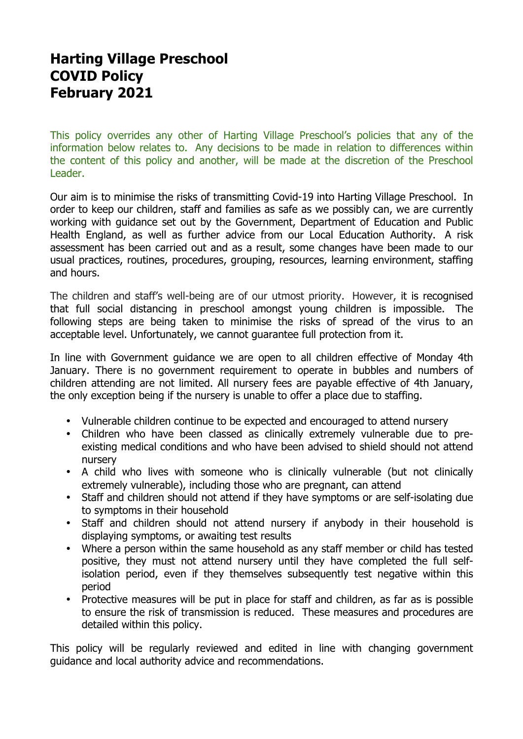# **Harting Village Preschool COVID Policy February 2021**

This policy overrides any other of Harting Village Preschool's policies that any of the information below relates to. Any decisions to be made in relation to differences within the content of this policy and another, will be made at the discretion of the Preschool Leader.

Our aim is to minimise the risks of transmitting Covid-19 into Harting Village Preschool. In order to keep our children, staff and families as safe as we possibly can, we are currently working with guidance set out by the Government, Department of Education and Public Health England, as well as further advice from our Local Education Authority. A risk assessment has been carried out and as a result, some changes have been made to our usual practices, routines, procedures, grouping, resources, learning environment, staffing and hours.

The children and staff's well-being are of our utmost priority. However, it is recognised that full social distancing in preschool amongst young children is impossible. The following steps are being taken to minimise the risks of spread of the virus to an acceptable level. Unfortunately, we cannot guarantee full protection from it.

In line with Government guidance we are open to all children effective of Monday 4th January. There is no government requirement to operate in bubbles and numbers of children attending are not limited. All nursery fees are payable effective of 4th January, the only exception being if the nursery is unable to offer a place due to staffing.

- Vulnerable children continue to be expected and encouraged to attend nursery
- Children who have been classed as clinically extremely vulnerable due to preexisting medical conditions and who have been advised to shield should not attend nursery
- A child who lives with someone who is clinically vulnerable (but not clinically extremely vulnerable), including those who are pregnant, can attend
- Staff and children should not attend if they have symptoms or are self-isolating due to symptoms in their household
- Staff and children should not attend nursery if anybody in their household is displaying symptoms, or awaiting test results
- Where a person within the same household as any staff member or child has tested positive, they must not attend nursery until they have completed the full selfisolation period, even if they themselves subsequently test negative within this period
- Protective measures will be put in place for staff and children, as far as is possible to ensure the risk of transmission is reduced. These measures and procedures are detailed within this policy.

This policy will be regularly reviewed and edited in line with changing government guidance and local authority advice and recommendations.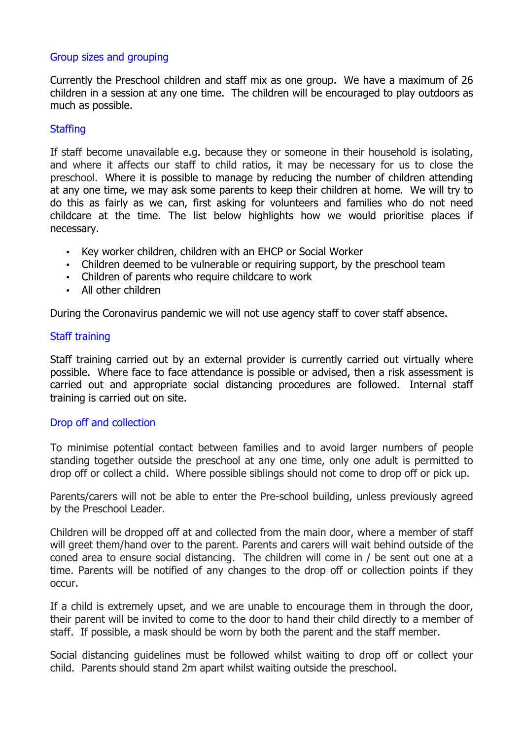# Group sizes and grouping

Currently the Preschool children and staff mix as one group. We have a maximum of 26 children in a session at any one time. The children will be encouraged to play outdoors as much as possible.

# **Staffing**

If staff become unavailable e.g. because they or someone in their household is isolating, and where it affects our staff to child ratios, it may be necessary for us to close the preschool. Where it is possible to manage by reducing the number of children attending at any one time, we may ask some parents to keep their children at home. We will try to do this as fairly as we can, first asking for volunteers and families who do not need childcare at the time. The list below highlights how we would prioritise places if necessary.

- Key worker children, children with an EHCP or Social Worker
- Children deemed to be vulnerable or requiring support, by the preschool team
- Children of parents who require childcare to work
- All other children

During the Coronavirus pandemic we will not use agency staff to cover staff absence.

# Staff training

Staff training carried out by an external provider is currently carried out virtually where possible. Where face to face attendance is possible or advised, then a risk assessment is carried out and appropriate social distancing procedures are followed. Internal staff training is carried out on site.

### Drop off and collection

To minimise potential contact between families and to avoid larger numbers of people standing together outside the preschool at any one time, only one adult is permitted to drop off or collect a child. Where possible siblings should not come to drop off or pick up.

Parents/carers will not be able to enter the Pre-school building, unless previously agreed by the Preschool Leader.

Children will be dropped off at and collected from the main door, where a member of staff will greet them/hand over to the parent. Parents and carers will wait behind outside of the coned area to ensure social distancing. The children will come in / be sent out one at a time. Parents will be notified of any changes to the drop off or collection points if they occur.

If a child is extremely upset, and we are unable to encourage them in through the door, their parent will be invited to come to the door to hand their child directly to a member of staff. If possible, a mask should be worn by both the parent and the staff member.

Social distancing guidelines must be followed whilst waiting to drop off or collect your child. Parents should stand 2m apart whilst waiting outside the preschool.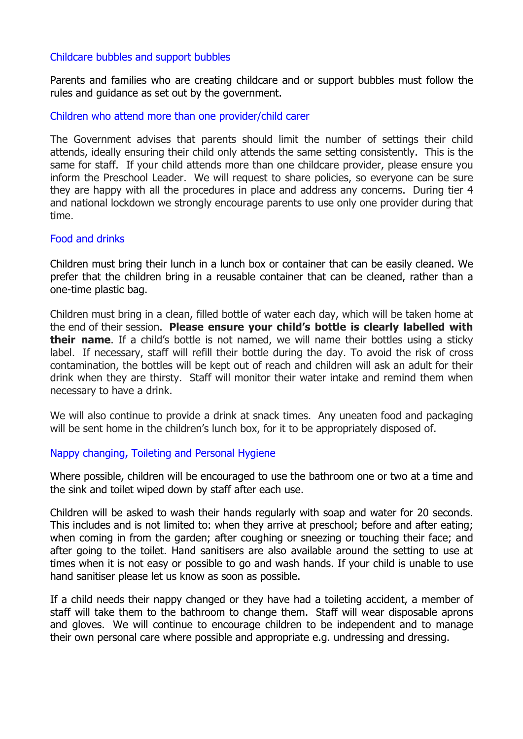# Childcare bubbles and support bubbles

Parents and families who are creating childcare and or support bubbles must follow the rules and guidance as set out by the government.

### Children who attend more than one provider/child carer

The Government advises that parents should limit the number of settings their child attends, ideally ensuring their child only attends the same setting consistently. This is the same for staff. If your child attends more than one childcare provider, please ensure you inform the Preschool Leader. We will request to share policies, so everyone can be sure they are happy with all the procedures in place and address any concerns. During tier 4 and national lockdown we strongly encourage parents to use only one provider during that time.

### Food and drinks

Children must bring their lunch in a lunch box or container that can be easily cleaned. We prefer that the children bring in a reusable container that can be cleaned, rather than a one-time plastic bag.

Children must bring in a clean, filled bottle of water each day, which will be taken home at the end of their session. **Please ensure your child's bottle is clearly labelled with their name**. If a child's bottle is not named, we will name their bottles using a sticky label. If necessary, staff will refill their bottle during the day. To avoid the risk of cross contamination, the bottles will be kept out of reach and children will ask an adult for their drink when they are thirsty. Staff will monitor their water intake and remind them when necessary to have a drink.

We will also continue to provide a drink at snack times. Any uneaten food and packaging will be sent home in the children's lunch box, for it to be appropriately disposed of.

### Nappy changing, Toileting and Personal Hygiene

Where possible, children will be encouraged to use the bathroom one or two at a time and the sink and toilet wiped down by staff after each use.

Children will be asked to wash their hands regularly with soap and water for 20 seconds. This includes and is not limited to: when they arrive at preschool; before and after eating; when coming in from the garden; after coughing or sneezing or touching their face; and after going to the toilet. Hand sanitisers are also available around the setting to use at times when it is not easy or possible to go and wash hands. If your child is unable to use hand sanitiser please let us know as soon as possible.

If a child needs their nappy changed or they have had a toileting accident, a member of staff will take them to the bathroom to change them. Staff will wear disposable aprons and gloves. We will continue to encourage children to be independent and to manage their own personal care where possible and appropriate e.g. undressing and dressing.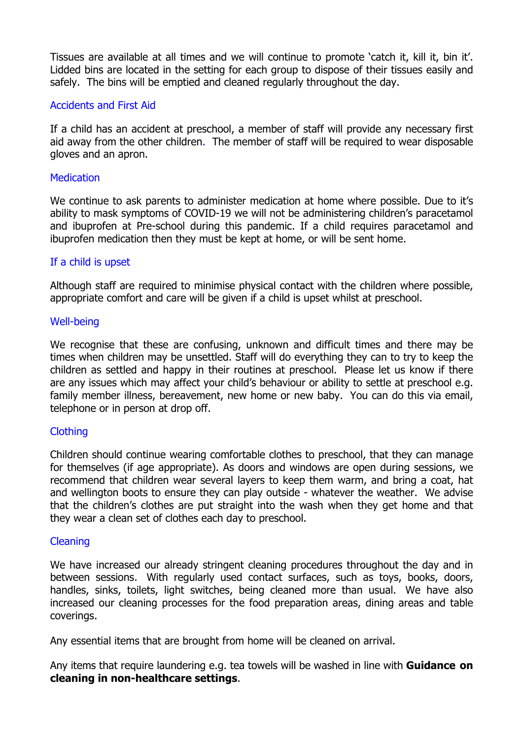Tissues are available at all times and we will continue to promote 'catch it, kill it, bin it'. Lidded bins are located in the setting for each group to dispose of their tissues easily and safely. The bins will be emptied and cleaned regularly throughout the day.

# Accidents and First Aid

If a child has an accident at preschool, a member of staff will provide any necessary first aid away from the other children. The member of staff will be required to wear disposable gloves and an apron.

# **Medication**

We continue to ask parents to administer medication at home where possible. Due to it's ability to mask symptoms of COVID-19 we will not be administering children's paracetamol and ibuprofen at Pre-school during this pandemic. If a child requires paracetamol and ibuprofen medication then they must be kept at home, or will be sent home.

### If a child is upset

Although staff are required to minimise physical contact with the children where possible, appropriate comfort and care will be given if a child is upset whilst at preschool.

### Well-being

We recognise that these are confusing, unknown and difficult times and there may be times when children may be unsettled. Staff will do everything they can to try to keep the children as settled and happy in their routines at preschool. Please let us know if there are any issues which may affect your child's behaviour or ability to settle at preschool e.g. family member illness, bereavement, new home or new baby. You can do this via email, telephone or in person at drop off.

# **Clothing**

Children should continue wearing comfortable clothes to preschool, that they can manage for themselves (if age appropriate). As doors and windows are open during sessions, we recommend that children wear several layers to keep them warm, and bring a coat, hat and wellington boots to ensure they can play outside - whatever the weather. We advise that the children's clothes are put straight into the wash when they get home and that they wear a clean set of clothes each day to preschool.

### Cleaning

We have increased our already stringent cleaning procedures throughout the day and in between sessions. With regularly used contact surfaces, such as toys, books, doors, handles, sinks, toilets, light switches, being cleaned more than usual. We have also increased our cleaning processes for the food preparation areas, dining areas and table coverings.

Any essential items that are brought from home will be cleaned on arrival.

Any items that require laundering e.g. tea towels will be washed in line with **Guidance on cleaning in non-healthcare settings**.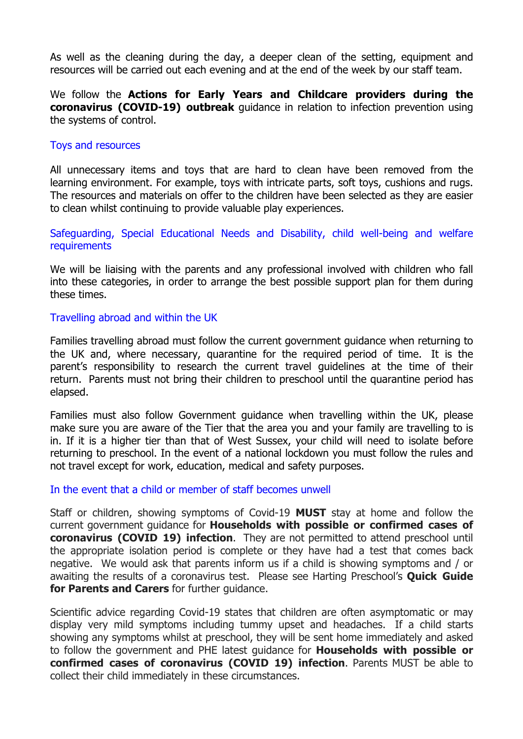As well as the cleaning during the day, a deeper clean of the setting, equipment and resources will be carried out each evening and at the end of the week by our staff team.

We follow the **Actions for Early Years and Childcare providers during the coronavirus (COVID-19) outbreak** guidance in relation to infection prevention using the systems of control.

### Toys and resources

All unnecessary items and toys that are hard to clean have been removed from the learning environment. For example, toys with intricate parts, soft toys, cushions and rugs. The resources and materials on offer to the children have been selected as they are easier to clean whilst continuing to provide valuable play experiences.

Safeguarding, Special Educational Needs and Disability, child well-being and welfare **requirements** 

We will be liaising with the parents and any professional involved with children who fall into these categories, in order to arrange the best possible support plan for them during these times.

### Travelling abroad and within the UK

Families travelling abroad must follow the current government guidance when returning to the UK and, where necessary, quarantine for the required period of time. It is the parent's responsibility to research the current travel guidelines at the time of their return. Parents must not bring their children to preschool until the quarantine period has elapsed.

Families must also follow Government guidance when travelling within the UK, please make sure you are aware of the Tier that the area you and your family are travelling to is in. If it is a higher tier than that of West Sussex, your child will need to isolate before returning to preschool. In the event of a national lockdown you must follow the rules and not travel except for work, education, medical and safety purposes.

## In the event that a child or member of staff becomes unwell

Staff or children, showing symptoms of Covid-19 **MUST** stay at home and follow the current government guidance for **Households with possible or confirmed cases of coronavirus (COVID 19) infection**. They are not permitted to attend preschool until the appropriate isolation period is complete or they have had a test that comes back negative. We would ask that parents inform us if a child is showing symptoms and / or awaiting the results of a coronavirus test. Please see Harting Preschool's **Quick Guide for Parents and Carers** for further guidance.

Scientific advice regarding Covid-19 states that children are often asymptomatic or may display very mild symptoms including tummy upset and headaches. If a child starts showing any symptoms whilst at preschool, they will be sent home immediately and asked to follow the government and PHE latest guidance for **Households with possible or confirmed cases of coronavirus (COVID 19) infection**. Parents MUST be able to collect their child immediately in these circumstances.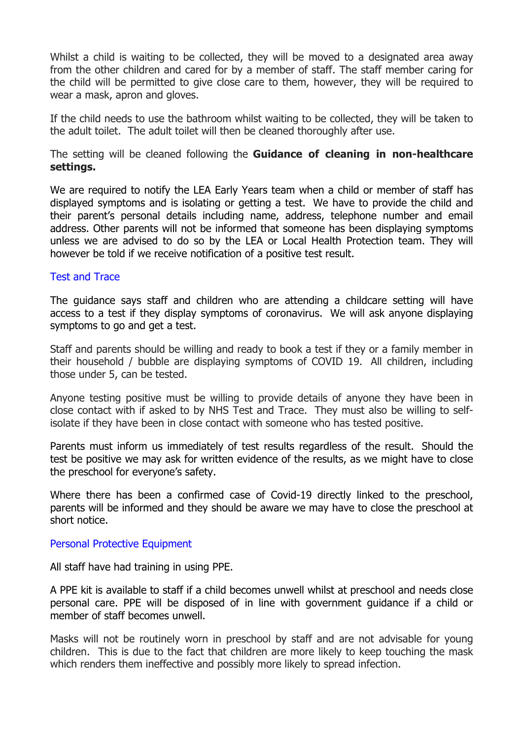Whilst a child is waiting to be collected, they will be moved to a designated area away from the other children and cared for by a member of staff. The staff member caring for the child will be permitted to give close care to them, however, they will be required to wear a mask, apron and gloves.

If the child needs to use the bathroom whilst waiting to be collected, they will be taken to the adult toilet. The adult toilet will then be cleaned thoroughly after use.

The setting will be cleaned following the **Guidance of cleaning in non-healthcare settings.**

We are required to notify the LEA Early Years team when a child or member of staff has displayed symptoms and is isolating or getting a test. We have to provide the child and their parent's personal details including name, address, telephone number and email address. Other parents will not be informed that someone has been displaying symptoms unless we are advised to do so by the LEA or Local Health Protection team. They will however be told if we receive notification of a positive test result.

### Test and Trace

The guidance says staff and children who are attending a childcare setting will have access to a test if they display symptoms of coronavirus. We will ask anyone displaying symptoms to go and get a test.

Staff and parents should be willing and ready to book a test if they or a family member in their household / bubble are displaying symptoms of COVID 19. All children, including those under 5, can be tested.

Anyone testing positive must be willing to provide details of anyone they have been in close contact with if asked to by NHS Test and Trace. They must also be willing to selfisolate if they have been in close contact with someone who has tested positive.

Parents must inform us immediately of test results regardless of the result. Should the test be positive we may ask for written evidence of the results, as we might have to close the preschool for everyone's safety.

Where there has been a confirmed case of Covid-19 directly linked to the preschool, parents will be informed and they should be aware we may have to close the preschool at short notice.

#### Personal Protective Equipment

All staff have had training in using PPE.

A PPE kit is available to staff if a child becomes unwell whilst at preschool and needs close personal care. PPE will be disposed of in line with government guidance if a child or member of staff becomes unwell.

Masks will not be routinely worn in preschool by staff and are not advisable for young children. This is due to the fact that children are more likely to keep touching the mask which renders them ineffective and possibly more likely to spread infection.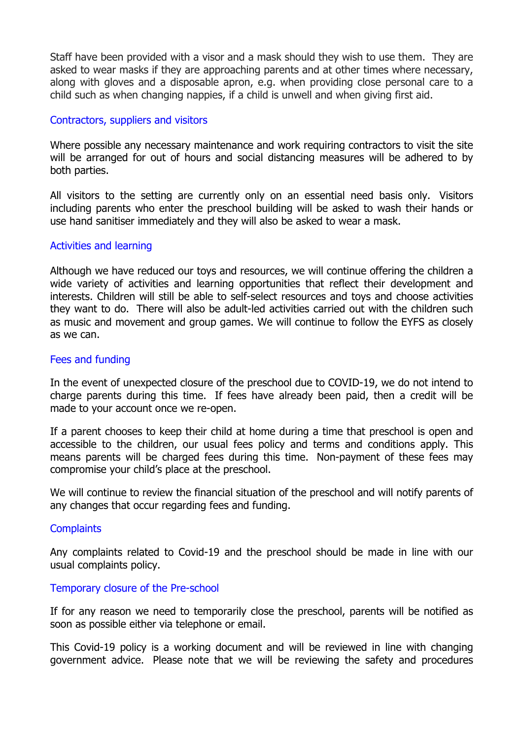Staff have been provided with a visor and a mask should they wish to use them. They are asked to wear masks if they are approaching parents and at other times where necessary, along with gloves and a disposable apron, e.g. when providing close personal care to a child such as when changing nappies, if a child is unwell and when giving first aid.

### Contractors, suppliers and visitors

Where possible any necessary maintenance and work requiring contractors to visit the site will be arranged for out of hours and social distancing measures will be adhered to by both parties.

All visitors to the setting are currently only on an essential need basis only. Visitors including parents who enter the preschool building will be asked to wash their hands or use hand sanitiser immediately and they will also be asked to wear a mask.

### Activities and learning

Although we have reduced our toys and resources, we will continue offering the children a wide variety of activities and learning opportunities that reflect their development and interests. Children will still be able to self-select resources and toys and choose activities they want to do. There will also be adult-led activities carried out with the children such as music and movement and group games. We will continue to follow the EYFS as closely as we can.

## Fees and funding

In the event of unexpected closure of the preschool due to COVID-19, we do not intend to charge parents during this time. If fees have already been paid, then a credit will be made to your account once we re-open.

If a parent chooses to keep their child at home during a time that preschool is open and accessible to the children, our usual fees policy and terms and conditions apply. This means parents will be charged fees during this time. Non-payment of these fees may compromise your child's place at the preschool.

We will continue to review the financial situation of the preschool and will notify parents of any changes that occur regarding fees and funding.

#### **Complaints**

Any complaints related to Covid-19 and the preschool should be made in line with our usual complaints policy.

#### Temporary closure of the Pre-school

If for any reason we need to temporarily close the preschool, parents will be notified as soon as possible either via telephone or email.

This Covid-19 policy is a working document and will be reviewed in line with changing government advice. Please note that we will be reviewing the safety and procedures